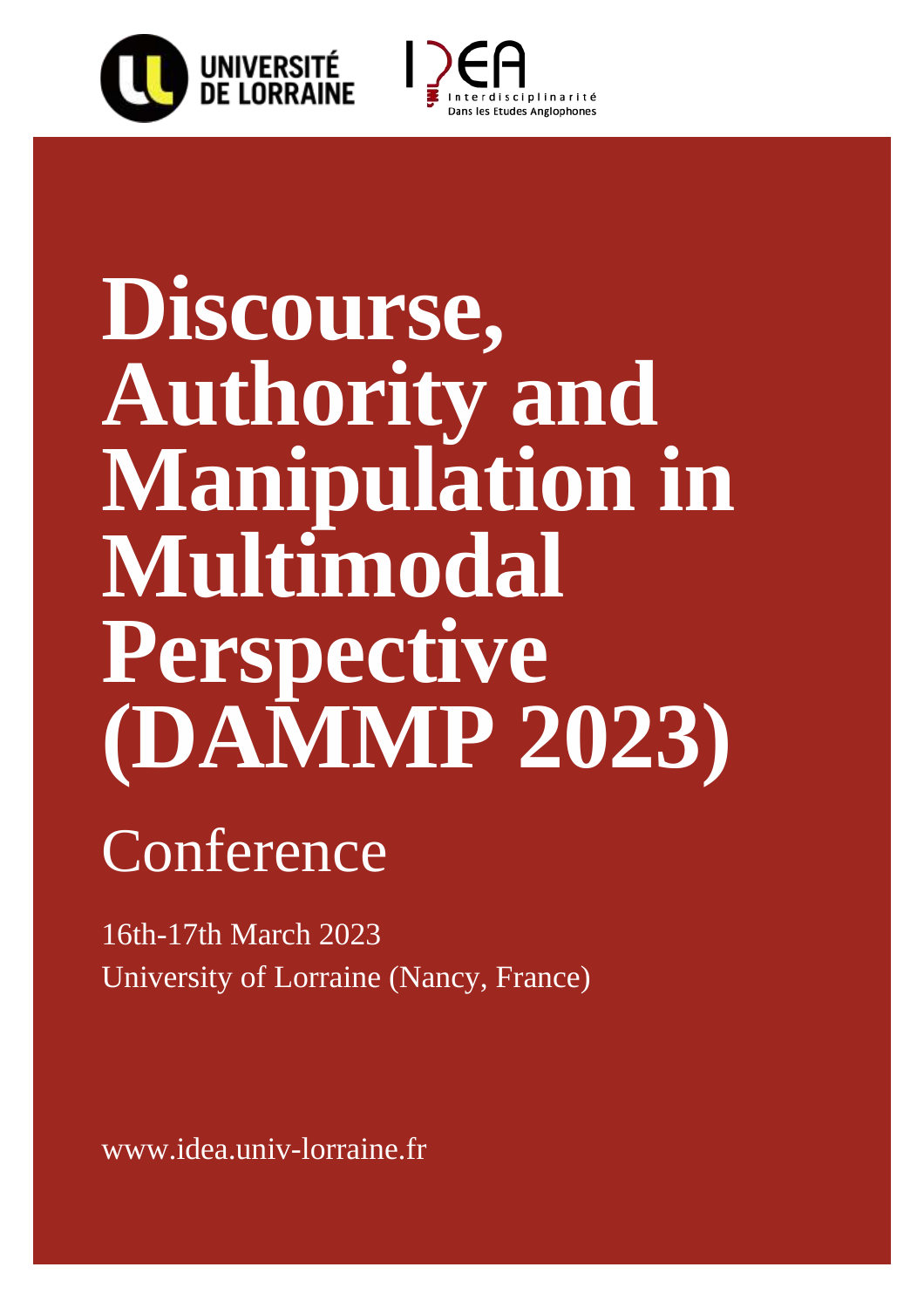



# **Discourse, Authority and Manipulation in Multimodal Perspective (DAMMP 2023)**

## Conference

16th-17th March 2023 University of Lorraine (Nancy, France)

www.idea.univ-lorraine.fr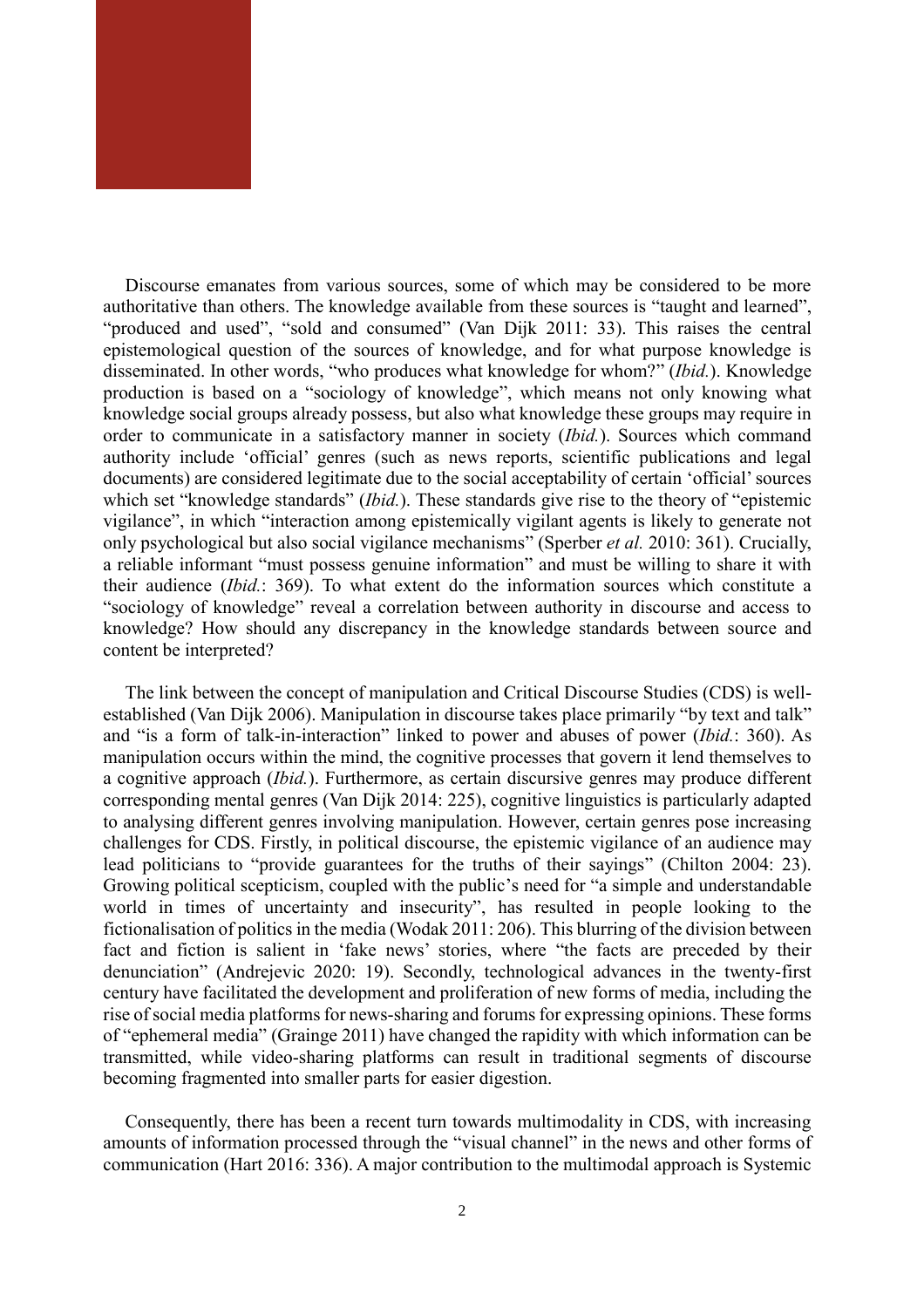

Discourse emanates from various sources, some of which may be considered to be more authoritative than others. The knowledge available from these sources is "taught and learned", "produced and used", "sold and consumed" (Van Dijk 2011: 33). This raises the central epistemological question of the sources of knowledge, and for what purpose knowledge is disseminated. In other words, "who produces what knowledge for whom?" (*Ibid.*). Knowledge production is based on a "sociology of knowledge", which means not only knowing what knowledge social groups already possess, but also what knowledge these groups may require in order to communicate in a satisfactory manner in society (*Ibid.*). Sources which command authority include 'official' genres (such as news reports, scientific publications and legal documents) are considered legitimate due to the social acceptability of certain 'official' sources which set "knowledge standards" (*Ibid.*). These standards give rise to the theory of "epistemic vigilance", in which "interaction among epistemically vigilant agents is likely to generate not only psychological but also social vigilance mechanisms" (Sperber *et al.* 2010: 361). Crucially, a reliable informant "must possess genuine information" and must be willing to share it with their audience (*Ibid.*: 369). To what extent do the information sources which constitute a "sociology of knowledge" reveal a correlation between authority in discourse and access to knowledge? How should any discrepancy in the knowledge standards between source and content be interpreted?

The link between the concept of manipulation and Critical Discourse Studies (CDS) is wellestablished (Van Dijk 2006). Manipulation in discourse takes place primarily "by text and talk" and "is a form of talk-in-interaction" linked to power and abuses of power (*Ibid.*: 360). As manipulation occurs within the mind, the cognitive processes that govern it lend themselves to a cognitive approach (*Ibid.*). Furthermore, as certain discursive genres may produce different corresponding mental genres (Van Dijk 2014: 225), cognitive linguistics is particularly adapted to analysing different genres involving manipulation. However, certain genres pose increasing challenges for CDS. Firstly, in political discourse, the epistemic vigilance of an audience may lead politicians to "provide guarantees for the truths of their sayings" (Chilton 2004: 23). Growing political scepticism, coupled with the public's need for "a simple and understandable world in times of uncertainty and insecurity", has resulted in people looking to the fictionalisation of politics in the media (Wodak 2011: 206). This blurring of the division between fact and fiction is salient in 'fake news' stories, where "the facts are preceded by their denunciation" (Andrejevic 2020: 19). Secondly, technological advances in the twenty-first century have facilitated the development and proliferation of new forms of media, including the rise of social media platforms for news-sharing and forums for expressing opinions. These forms of "ephemeral media" (Grainge 2011) have changed the rapidity with which information can be transmitted, while video-sharing platforms can result in traditional segments of discourse becoming fragmented into smaller parts for easier digestion.

Consequently, there has been a recent turn towards multimodality in CDS, with increasing amounts of information processed through the "visual channel" in the news and other forms of communication (Hart 2016: 336). A major contribution to the multimodal approach is Systemic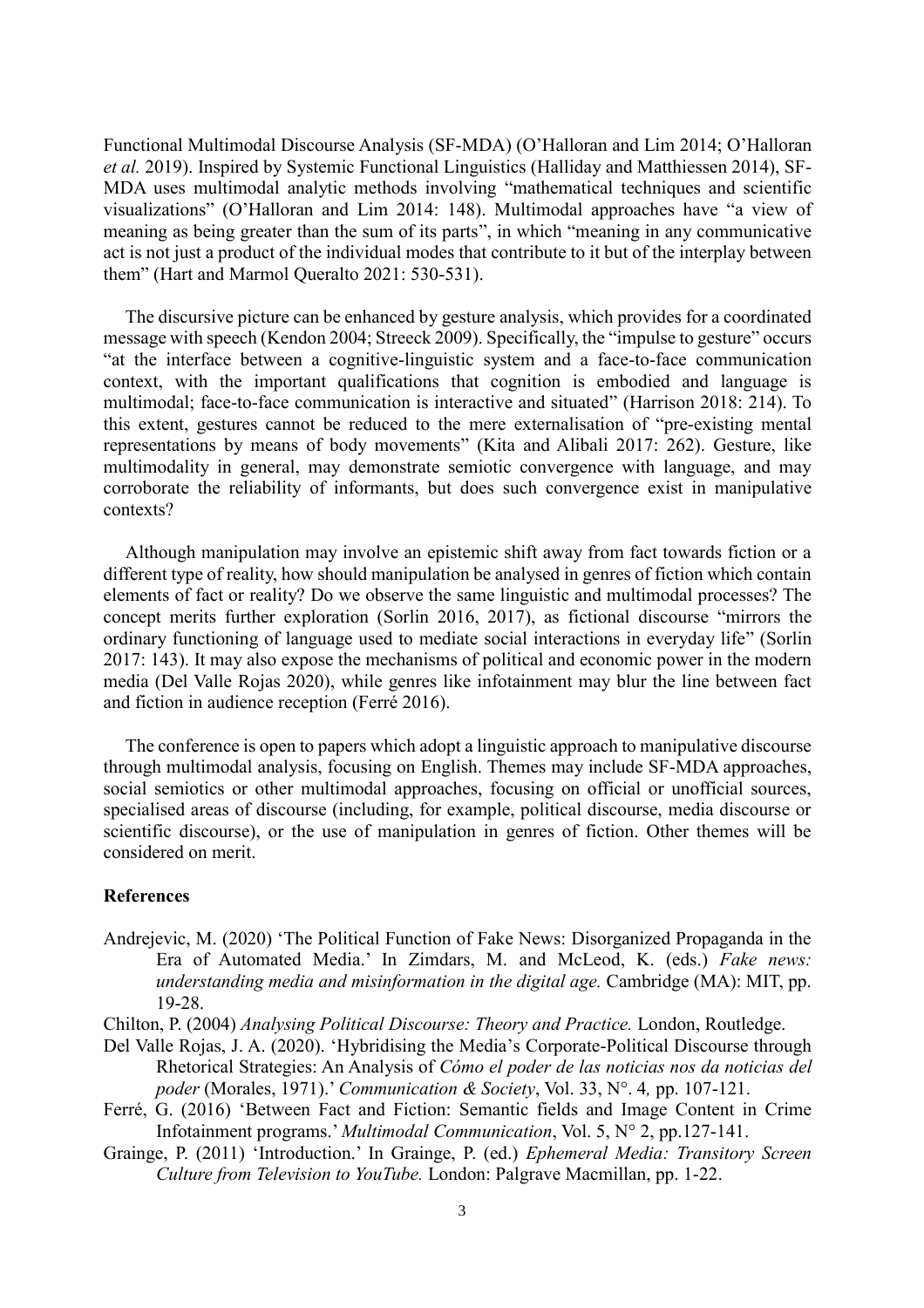Functional Multimodal Discourse Analysis (SF-MDA) (O'Halloran and Lim 2014; O'Halloran *et al.* 2019). Inspired by Systemic Functional Linguistics (Halliday and Matthiessen 2014), SF-MDA uses multimodal analytic methods involving "mathematical techniques and scientific visualizations" (O'Halloran and Lim 2014: 148). Multimodal approaches have "a view of meaning as being greater than the sum of its parts", in which "meaning in any communicative act is not just a product of the individual modes that contribute to it but of the interplay between them" (Hart and Marmol Queralto 2021: 530-531).

The discursive picture can be enhanced by gesture analysis, which provides for a coordinated message with speech (Kendon 2004; Streeck 2009). Specifically, the "impulse to gesture" occurs "at the interface between a cognitive-linguistic system and a face-to-face communication context, with the important qualifications that cognition is embodied and language is multimodal; face-to-face communication is interactive and situated" (Harrison 2018: 214). To this extent, gestures cannot be reduced to the mere externalisation of "pre-existing mental representations by means of body movements" (Kita and Alibali 2017: 262). Gesture, like multimodality in general, may demonstrate semiotic convergence with language, and may corroborate the reliability of informants, but does such convergence exist in manipulative contexts?

Although manipulation may involve an epistemic shift away from fact towards fiction or a different type of reality, how should manipulation be analysed in genres of fiction which contain elements of fact or reality? Do we observe the same linguistic and multimodal processes? The concept merits further exploration (Sorlin 2016, 2017), as fictional discourse "mirrors the ordinary functioning of language used to mediate social interactions in everyday life" (Sorlin 2017: 143). It may also expose the mechanisms of political and economic power in the modern media (Del Valle Rojas 2020), while genres like infotainment may blur the line between fact and fiction in audience reception (Ferré 2016).

The conference is open to papers which adopt a linguistic approach to manipulative discourse through multimodal analysis, focusing on English. Themes may include SF-MDA approaches, social semiotics or other multimodal approaches, focusing on official or unofficial sources, specialised areas of discourse (including, for example, political discourse, media discourse or scientific discourse), or the use of manipulation in genres of fiction. Other themes will be considered on merit.

#### **References**

- Andrejevic, M. (2020) 'The Political Function of Fake News: Disorganized Propaganda in the Era of Automated Media.' In Zimdars, M. and McLeod, K. (eds.) *Fake news: understanding media and misinformation in the digital age.* Cambridge (MA): MIT, pp. 19-28.
- Chilton, P. (2004) *Analysing Political Discourse: Theory and Practice.* London, Routledge.
- Del Valle Rojas, J. A. (2020). 'Hybridising the Media's Corporate-Political Discourse through Rhetorical Strategies: An Analysis of *Cómo el poder de las noticias nos da noticias del poder* (Morales, 1971).' *Communication & Society*, Vol. 33, N°. 4*,* pp. 107-121.
- Ferré, G. (2016) 'Between Fact and Fiction: Semantic fields and Image Content in Crime Infotainment programs.' *Multimodal Communication*, Vol. 5, N° 2, pp.127-141.
- Grainge, P. (2011) 'Introduction.' In Grainge, P. (ed.) *Ephemeral Media: Transitory Screen Culture from Television to YouTube.* London: Palgrave Macmillan, pp. 1-22.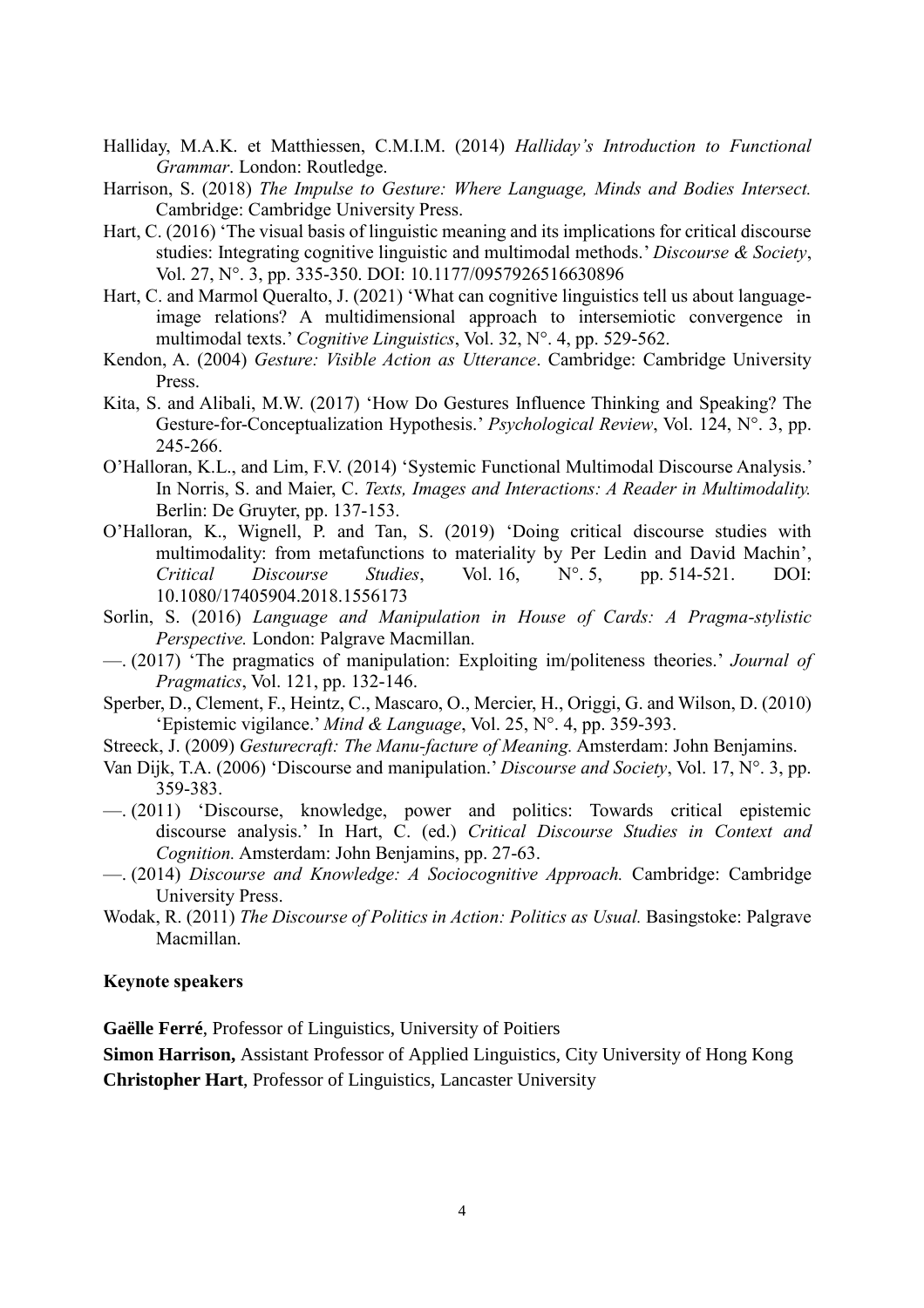- Halliday, M.A.K. et Matthiessen, C.M.I.M. (2014) *Halliday's Introduction to Functional Grammar*. London: Routledge.
- Harrison, S. (2018) *The Impulse to Gesture: Where Language, Minds and Bodies Intersect.* Cambridge: Cambridge University Press.
- Hart, C. (2016) 'The visual basis of linguistic meaning and its implications for critical discourse studies: Integrating cognitive linguistic and multimodal methods.' *Discourse & Society*, Vol. 27, N°. 3, pp. 335-350. DOI: 10.1177/0957926516630896
- Hart, C. and Marmol Queralto, J. (2021) 'What can cognitive linguistics tell us about languageimage relations? A multidimensional approach to intersemiotic convergence in multimodal texts.' *Cognitive Linguistics*, Vol. 32, N°. 4, pp. 529-562.
- Kendon, A. (2004) *Gesture: Visible Action as Utterance*. Cambridge: Cambridge University Press.
- Kita, S. and Alibali, M.W. (2017) 'How Do Gestures Influence Thinking and Speaking? The Gesture-for-Conceptualization Hypothesis.' *Psychological Review*, Vol. 124, N°. 3, pp. 245-266.
- O'Halloran, K.L., and Lim, F.V. (2014) 'Systemic Functional Multimodal Discourse Analysis.' In Norris, S. and Maier, C. *Texts, Images and Interactions: A Reader in Multimodality.* Berlin: De Gruyter, pp. 137-153.
- O'Halloran, K., Wignell, P. and Tan, S. (2019) 'Doing critical discourse studies with multimodality: from metafunctions to materiality by Per Ledin and David Machin', *Critical Discourse Studies*, Vol. 16, N°. 5, pp. 514-521. DOI: 10.1080/17405904.2018.1556173
- Sorlin, S. (2016) *Language and Manipulation in House of Cards: A Pragma-stylistic Perspective.* London: Palgrave Macmillan.
- —. (2017) 'The pragmatics of manipulation: Exploiting im/politeness theories.' *Journal of Pragmatics*, Vol. 121, pp. 132-146.
- Sperber, D., Clement, F., Heintz, C., Mascaro, O., Mercier, H., Origgi, G. and Wilson, D. (2010) 'Epistemic vigilance.' *Mind & Language*, Vol. 25, N°. 4, pp. 359-393.
- Streeck, J. (2009) *Gesturecraft: The Manu-facture of Meaning.* Amsterdam: John Benjamins.
- Van Dijk, T.A. (2006) 'Discourse and manipulation.' *Discourse and Society*, Vol. 17, N°. 3, pp. 359-383.
- —. (2011) 'Discourse, knowledge, power and politics: Towards critical epistemic discourse analysis.' In Hart, C. (ed.) *Critical Discourse Studies in Context and Cognition.* Amsterdam: John Benjamins, pp. 27-63.
- —. (2014) *Discourse and Knowledge: A Sociocognitive Approach.* Cambridge: Cambridge University Press.
- Wodak, R. (2011) *The Discourse of Politics in Action: Politics as Usual.* Basingstoke: Palgrave Macmillan.

#### **Keynote speakers**

**Gaëlle Ferré**, Professor of Linguistics, University of Poitiers

**Simon Harrison,** Assistant Professor of Applied Linguistics, City University of Hong Kong

**Christopher Hart**, Professor of Linguistics, Lancaster University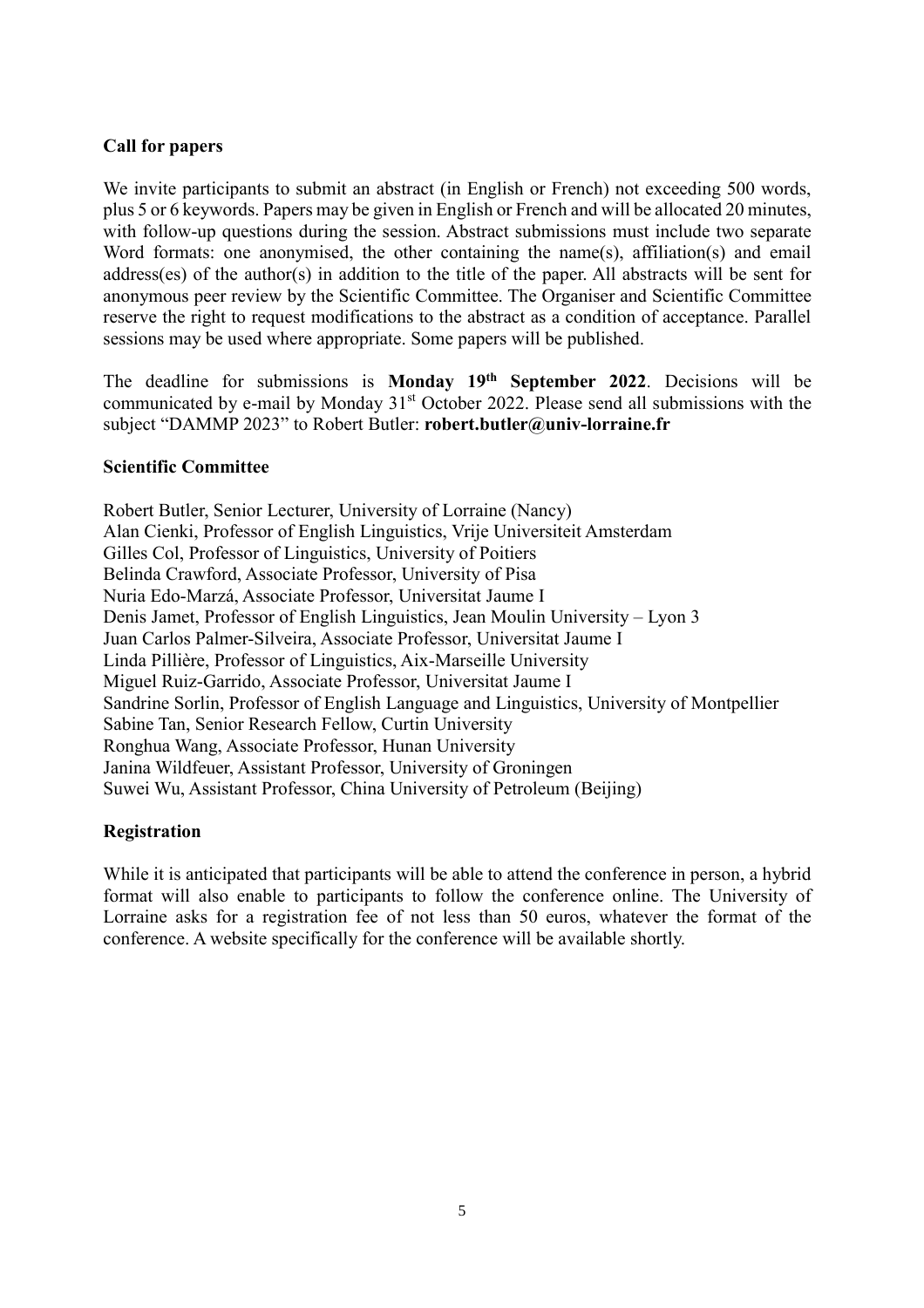### **Call for papers**

We invite participants to submit an abstract (in English or French) not exceeding 500 words, plus 5 or 6 keywords. Papers may be given in English or French and will be allocated 20 minutes, with follow-up questions during the session. Abstract submissions must include two separate Word formats: one anonymised, the other containing the name(s), affiliation(s) and email address(es) of the author(s) in addition to the title of the paper. All abstracts will be sent for anonymous peer review by the Scientific Committee. The Organiser and Scientific Committee reserve the right to request modifications to the abstract as a condition of acceptance. Parallel sessions may be used where appropriate. Some papers will be published.

The deadline for submissions is **Monday 19th September 2022**. Decisions will be communicated by e-mail by Monday 31<sup>st</sup> October 2022. Please send all submissions with the subject "DAMMP 2023" to Robert Butler: **robert.butler@univ-lorraine.fr** 

#### **Scientific Committee**

Robert Butler, Senior Lecturer, University of Lorraine (Nancy) Alan Cienki, Professor of English Linguistics, Vrije Universiteit Amsterdam Gilles Col, Professor of Linguistics, University of Poitiers Belinda Crawford, Associate Professor, University of Pisa Nuria Edo-Marzá, Associate Professor, Universitat Jaume I Denis Jamet, Professor of English Linguistics, Jean Moulin University – Lyon 3 Juan Carlos Palmer-Silveira, Associate Professor, Universitat Jaume I Linda Pillière, Professor of Linguistics, Aix-Marseille University Miguel Ruiz-Garrido, Associate Professor, Universitat Jaume I Sandrine Sorlin, Professor of English Language and Linguistics, University of Montpellier Sabine Tan, Senior Research Fellow, Curtin University Ronghua Wang, Associate Professor, Hunan University Janina Wildfeuer, Assistant Professor, University of Groningen Suwei Wu, Assistant Professor, China University of Petroleum (Beijing)

#### **Registration**

While it is anticipated that participants will be able to attend the conference in person, a hybrid format will also enable to participants to follow the conference online. The University of Lorraine asks for a registration fee of not less than 50 euros, whatever the format of the conference. A website specifically for the conference will be available shortly.